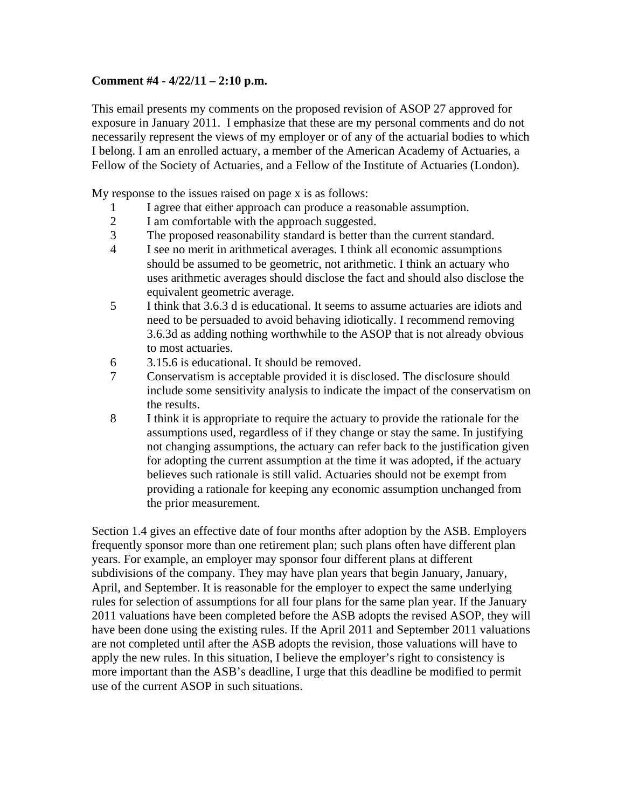## **Comment #4 - 4/22/11 – 2:10 p.m.**

This email presents my comments on the proposed revision of ASOP 27 approved for exposure in January 2011. I emphasize that these are my personal comments and do not necessarily represent the views of my employer or of any of the actuarial bodies to which I belong. I am an enrolled actuary, a member of the American Academy of Actuaries, a Fellow of the Society of Actuaries, and a Fellow of the Institute of Actuaries (London).

My response to the issues raised on page x is as follows:

- 1 I agree that either approach can produce a reasonable assumption.
- 2 I am comfortable with the approach suggested.
- 3 The proposed reasonability standard is better than the current standard.
- 4 I see no merit in arithmetical averages. I think all economic assumptions should be assumed to be geometric, not arithmetic. I think an actuary who uses arithmetic averages should disclose the fact and should also disclose the equivalent geometric average.
- 5 I think that 3.6.3 d is educational. It seems to assume actuaries are idiots and need to be persuaded to avoid behaving idiotically. I recommend removing 3.6.3d as adding nothing worthwhile to the ASOP that is not already obvious to most actuaries.
- 6 3.15.6 is educational. It should be removed.
- 7 Conservatism is acceptable provided it is disclosed. The disclosure should include some sensitivity analysis to indicate the impact of the conservatism on the results.
- 8 I think it is appropriate to require the actuary to provide the rationale for the assumptions used, regardless of if they change or stay the same. In justifying not changing assumptions, the actuary can refer back to the justification given for adopting the current assumption at the time it was adopted, if the actuary believes such rationale is still valid. Actuaries should not be exempt from providing a rationale for keeping any economic assumption unchanged from the prior measurement.

Section 1.4 gives an effective date of four months after adoption by the ASB. Employers frequently sponsor more than one retirement plan; such plans often have different plan years. For example, an employer may sponsor four different plans at different subdivisions of the company. They may have plan years that begin January, January, April, and September. It is reasonable for the employer to expect the same underlying rules for selection of assumptions for all four plans for the same plan year. If the January 2011 valuations have been completed before the ASB adopts the revised ASOP, they will have been done using the existing rules. If the April 2011 and September 2011 valuations are not completed until after the ASB adopts the revision, those valuations will have to apply the new rules. In this situation, I believe the employer's right to consistency is more important than the ASB's deadline, I urge that this deadline be modified to permit use of the current ASOP in such situations.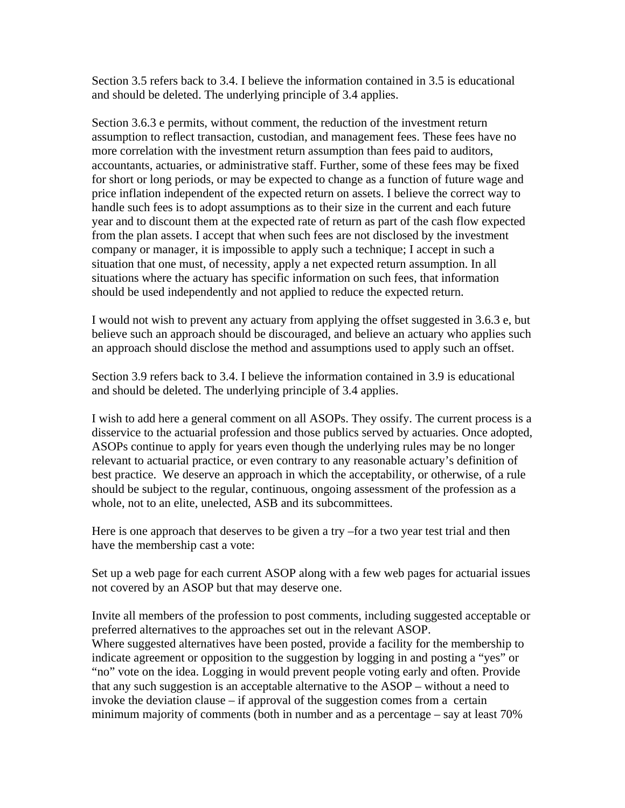Section 3.5 refers back to 3.4. I believe the information contained in 3.5 is educational and should be deleted. The underlying principle of 3.4 applies.

Section 3.6.3 e permits, without comment, the reduction of the investment return assumption to reflect transaction, custodian, and management fees. These fees have no more correlation with the investment return assumption than fees paid to auditors, accountants, actuaries, or administrative staff. Further, some of these fees may be fixed for short or long periods, or may be expected to change as a function of future wage and price inflation independent of the expected return on assets. I believe the correct way to handle such fees is to adopt assumptions as to their size in the current and each future year and to discount them at the expected rate of return as part of the cash flow expected from the plan assets. I accept that when such fees are not disclosed by the investment company or manager, it is impossible to apply such a technique; I accept in such a situation that one must, of necessity, apply a net expected return assumption. In all situations where the actuary has specific information on such fees, that information should be used independently and not applied to reduce the expected return.

I would not wish to prevent any actuary from applying the offset suggested in 3.6.3 e, but believe such an approach should be discouraged, and believe an actuary who applies such an approach should disclose the method and assumptions used to apply such an offset.

Section 3.9 refers back to 3.4. I believe the information contained in 3.9 is educational and should be deleted. The underlying principle of 3.4 applies.

I wish to add here a general comment on all ASOPs. They ossify. The current process is a disservice to the actuarial profession and those publics served by actuaries. Once adopted, ASOPs continue to apply for years even though the underlying rules may be no longer relevant to actuarial practice, or even contrary to any reasonable actuary's definition of best practice. We deserve an approach in which the acceptability, or otherwise, of a rule should be subject to the regular, continuous, ongoing assessment of the profession as a whole, not to an elite, unelected, ASB and its subcommittees.

Here is one approach that deserves to be given a try –for a two year test trial and then have the membership cast a vote:

Set up a web page for each current ASOP along with a few web pages for actuarial issues not covered by an ASOP but that may deserve one.

Invite all members of the profession to post comments, including suggested acceptable or preferred alternatives to the approaches set out in the relevant ASOP. Where suggested alternatives have been posted, provide a facility for the membership to indicate agreement or opposition to the suggestion by logging in and posting a "yes" or "no" vote on the idea. Logging in would prevent people voting early and often. Provide that any such suggestion is an acceptable alternative to the ASOP – without a need to invoke the deviation clause – if approval of the suggestion comes from a certain minimum majority of comments (both in number and as a percentage – say at least 70%